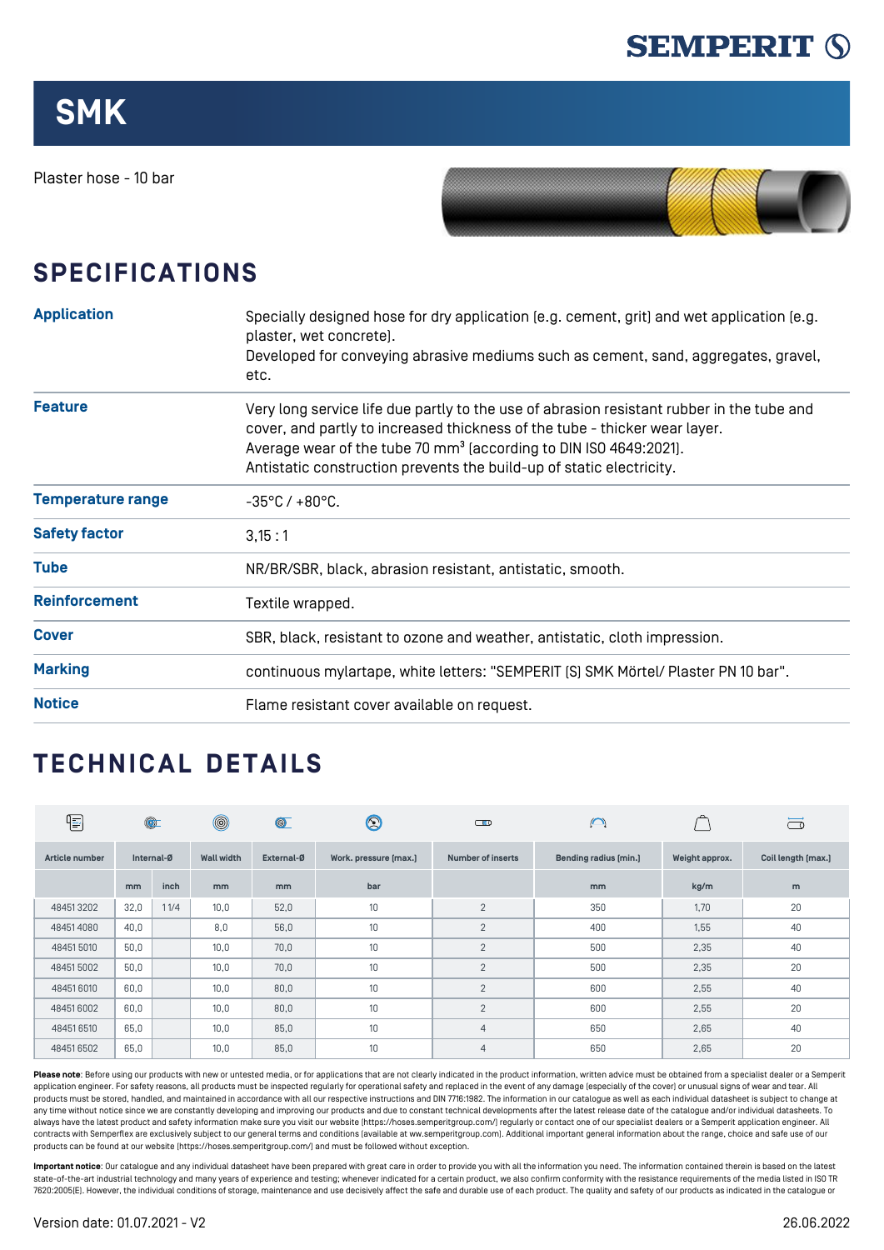

Plaster hose - 10 bar



## **SPECIFICATIONS**

| <b>Application</b>       | Specially designed hose for dry application [e.g. cement, grit] and wet application [e.g.<br>plaster, wet concrete).<br>Developed for conveying abrasive mediums such as cement, sand, aggregates, gravel,<br>etc.                                                                                                               |  |  |  |  |
|--------------------------|----------------------------------------------------------------------------------------------------------------------------------------------------------------------------------------------------------------------------------------------------------------------------------------------------------------------------------|--|--|--|--|
| <b>Feature</b>           | Very long service life due partly to the use of abrasion resistant rubber in the tube and<br>cover, and partly to increased thickness of the tube - thicker wear layer.<br>Average wear of the tube 70 mm <sup>3</sup> (according to DIN ISO 4649:2021).<br>Antistatic construction prevents the build-up of static electricity. |  |  |  |  |
| <b>Temperature range</b> | $-35^{\circ}$ C / $+80^{\circ}$ C.                                                                                                                                                                                                                                                                                               |  |  |  |  |
| <b>Safety factor</b>     | 3,15:1                                                                                                                                                                                                                                                                                                                           |  |  |  |  |
| <b>Tube</b>              | NR/BR/SBR, black, abrasion resistant, antistatic, smooth.                                                                                                                                                                                                                                                                        |  |  |  |  |
| <b>Reinforcement</b>     | Textile wrapped.                                                                                                                                                                                                                                                                                                                 |  |  |  |  |
| <b>Cover</b>             | SBR, black, resistant to ozone and weather, antistatic, cloth impression.                                                                                                                                                                                                                                                        |  |  |  |  |
| <b>Marking</b>           | continuous mylartape, white letters: "SEMPERIT [S] SMK Mörtel/ Plaster PN 10 bar".                                                                                                                                                                                                                                               |  |  |  |  |
| <b>Notice</b>            | Flame resistant cover available on request.                                                                                                                                                                                                                                                                                      |  |  |  |  |

## **TECHNICAL DETAILS**

| ⋐              |               | $\circledcirc$ | $^{\circledR}$    | $\circledcirc$ | $\circledS$           | $\bigcirc$               | $\bigcap$             |                | $\overline{\square}$ |
|----------------|---------------|----------------|-------------------|----------------|-----------------------|--------------------------|-----------------------|----------------|----------------------|
| Article number | Internal-Ø    |                | <b>Wall width</b> | External-Ø     | Work. pressure [max.] | <b>Number of inserts</b> | Bending radius [min.] | Weight approx. | Coil length [max.]   |
|                | <sub>mm</sub> | inch           | m <sub>m</sub>    | mm             | bar                   |                          | mm                    | kg/m           | m                    |
| 484513202      | 32,0          | 11/4           | 10,0              | 52,0           | 10                    | $\overline{2}$           | 350                   | 1,70           | 20                   |
| 484514080      | 40,0          |                | 8,0               | 56,0           | 10                    | $\overline{2}$           | 400                   | 1,55           | 40                   |
| 484515010      | 50,0          |                | 10,0              | 70,0           | 10                    | $\overline{2}$           | 500                   | 2,35           | 40                   |
| 484515002      | 50,0          |                | 10,0              | 70,0           | 10                    | $\overline{2}$           | 500                   | 2,35           | 20                   |
| 484516010      | 60,0          |                | 10,0              | 80,0           | 10                    | $\overline{2}$           | 600                   | 2,55           | 40                   |
| 484516002      | 60,0          |                | 10,0              | 80,0           | 10                    | $\overline{2}$           | 600                   | 2,55           | 20                   |
| 484516510      | 65,0          |                | 10,0              | 85,0           | 10 <sup>°</sup>       | $\overline{4}$           | 650                   | 2,65           | 40                   |
| 484516502      | 65,0          |                | 10,0              | 85,0           | 10                    | $\overline{4}$           | 650                   | 2,65           | 20                   |

Please note: Before using our products with new or untested media, or for applications that are not clearly indicated in the product information, written advice must be obtained from a specialist dealer or a Semperit application engineer. For safety reasons, all products must be inspected regularly for operational safety and replaced in the event of any damage (especially of the cover) or unusual signs of wear and tear. All products must be stored, handled, and maintained in accordance with all our respective instructions and DIN 7716:1982. The information in our catalogue as well as each individual datasheet is subject to change at any time without notice since we are constantly developing and improving our products and due to constant technical developments after the latest release date of the catalogue and/or individual datasheets. To always have the latest product and safety information make sure you visit our website ([https://hoses.semperitgroup.com/\)](https://hoses.semperitgroup.com/) regularly or contact one of our specialist dealers or a Semperit application engineer. All contracts with Semperflex are exclusively subject to our general terms and conditions (available at ww.semperitgroup.com). Additional important general information about the range, choice and safe use of our products can be found at our website (<https://hoses.semperitgroup.com/>) and must be followed without exception.

**Important notice**: Our catalogue and any individual datasheet have been prepared with great care in order to provide you with all the information you need. The information contained therein is based on the latest state-of-the-art industrial technology and many years of experience and testing; whenever indicated for a certain product, we also confirm conformity with the resistance requirements of the media listed in ISO TR 7620:2005(E). However, the individual conditions of storage, maintenance and use decisively affect the safe and durable use of each product. The quality and safety of our products as indicated in the catalogue or